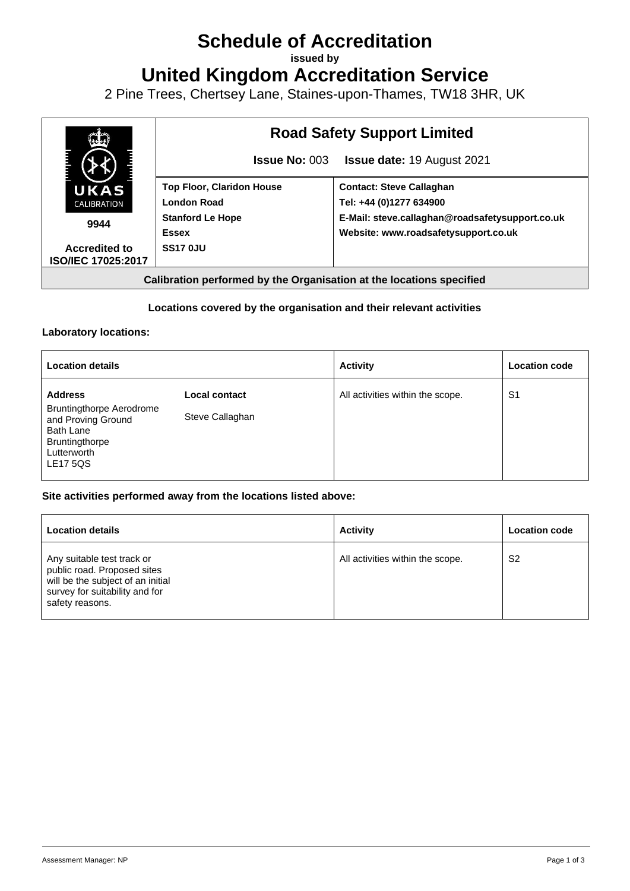# **Schedule of Accreditation**

**issued by**

**United Kingdom Accreditation Service**

2 Pine Trees, Chertsey Lane, Staines-upon-Thames, TW18 3HR, UK



# **Locations covered by the organisation and their relevant activities**

# **Laboratory locations:**

| <b>Location details</b>                                                                                                                  |                                  | <b>Activity</b>                  | <b>Location code</b> |
|------------------------------------------------------------------------------------------------------------------------------------------|----------------------------------|----------------------------------|----------------------|
| <b>Address</b><br><b>Bruntingthorpe Aerodrome</b><br>and Proving Ground<br>Bath Lane<br>Bruntingthorpe<br>Lutterworth<br><b>LE17 5QS</b> | Local contact<br>Steve Callaghan | All activities within the scope. | S <sub>1</sub>       |

## **Site activities performed away from the locations listed above:**

| <b>Location details</b>                                                                                                                             | <b>Activity</b>                  | <b>Location code</b> |
|-----------------------------------------------------------------------------------------------------------------------------------------------------|----------------------------------|----------------------|
| Any suitable test track or<br>public road. Proposed sites<br>will be the subject of an initial<br>survey for suitability and for<br>safety reasons. | All activities within the scope. | S <sub>2</sub>       |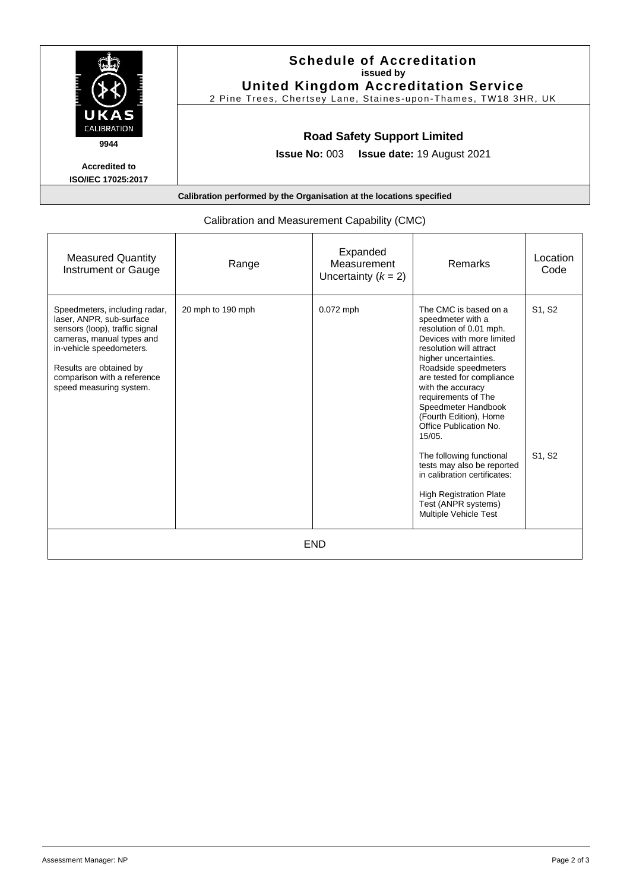|                                                   | <b>Schedule of Accreditation</b><br>issued by<br><b>United Kingdom Accreditation Service</b><br>2 Pine Trees, Chertsey Lane, Staines-upon-Thames, TW18 3HR, UK |
|---------------------------------------------------|----------------------------------------------------------------------------------------------------------------------------------------------------------------|
| UKAS<br>CALIBRATION<br>9944                       | <b>Road Safety Support Limited</b>                                                                                                                             |
| <b>Accredited to</b><br><b>ISO/IEC 17025:2017</b> | <b>Issue No: 003 Issue date: 19 August 2021</b>                                                                                                                |

| <b>Measured Quantity</b><br>Instrument or Gauge                                                                                                                                                                                           | Range             | Expanded<br>Measurement<br>Uncertainty $(k = 2)$ | <b>Remarks</b>                                                                                                                                                                                                                                                                                                                                                                                                                                                                                                                  | Location<br>Code |  |  |  |
|-------------------------------------------------------------------------------------------------------------------------------------------------------------------------------------------------------------------------------------------|-------------------|--------------------------------------------------|---------------------------------------------------------------------------------------------------------------------------------------------------------------------------------------------------------------------------------------------------------------------------------------------------------------------------------------------------------------------------------------------------------------------------------------------------------------------------------------------------------------------------------|------------------|--|--|--|
| Speedmeters, including radar,<br>laser, ANPR, sub-surface<br>sensors (loop), traffic signal<br>cameras, manual types and<br>in-vehicle speedometers.<br>Results are obtained by<br>comparison with a reference<br>speed measuring system. | 20 mph to 190 mph | $0.072$ mph                                      | The CMC is based on a<br>speedmeter with a<br>resolution of 0.01 mph.<br>Devices with more limited<br>resolution will attract<br>higher uncertainties.<br>Roadside speedmeters<br>are tested for compliance<br>with the accuracy<br>requirements of The<br>Speedmeter Handbook<br>(Fourth Edition), Home<br>Office Publication No.<br>15/05.<br>The following functional<br>tests may also be reported<br>in calibration certificates:<br><b>High Registration Plate</b><br>Test (ANPR systems)<br><b>Multiple Vehicle Test</b> | S1, S2<br>S1, S2 |  |  |  |
| <b>END</b>                                                                                                                                                                                                                                |                   |                                                  |                                                                                                                                                                                                                                                                                                                                                                                                                                                                                                                                 |                  |  |  |  |

# Calibration and Measurement Capability (CMC)